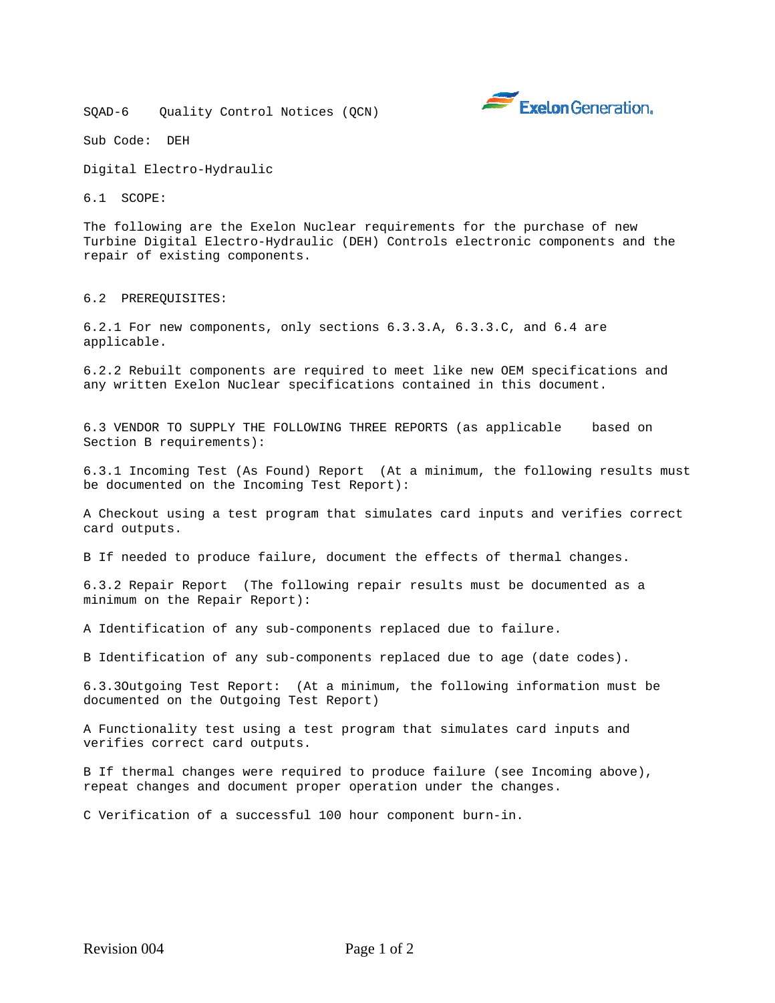SQAD-6 Quality Control Notices (QCN)



Sub Code: DEH

Digital Electro-Hydraulic

6.1 SCOPE:

The following are the Exelon Nuclear requirements for the purchase of new Turbine Digital Electro-Hydraulic (DEH) Controls electronic components and the repair of existing components.

6.2 PREREQUISITES:

6.2.1 For new components, only sections 6.3.3.A, 6.3.3.C, and 6.4 are applicable.

6.2.2 Rebuilt components are required to meet like new OEM specifications and any written Exelon Nuclear specifications contained in this document.

6.3 VENDOR TO SUPPLY THE FOLLOWING THREE REPORTS (as applicable based on Section B requirements):

6.3.1 Incoming Test (As Found) Report (At a minimum, the following results must be documented on the Incoming Test Report):

A Checkout using a test program that simulates card inputs and verifies correct card outputs.

B If needed to produce failure, document the effects of thermal changes.

6.3.2 Repair Report (The following repair results must be documented as a minimum on the Repair Report):

A Identification of any sub-components replaced due to failure.

B Identification of any sub-components replaced due to age (date codes).

6.3.3Outgoing Test Report: (At a minimum, the following information must be documented on the Outgoing Test Report)

A Functionality test using a test program that simulates card inputs and verifies correct card outputs.

B If thermal changes were required to produce failure (see Incoming above), repeat changes and document proper operation under the changes.

C Verification of a successful 100 hour component burn-in.